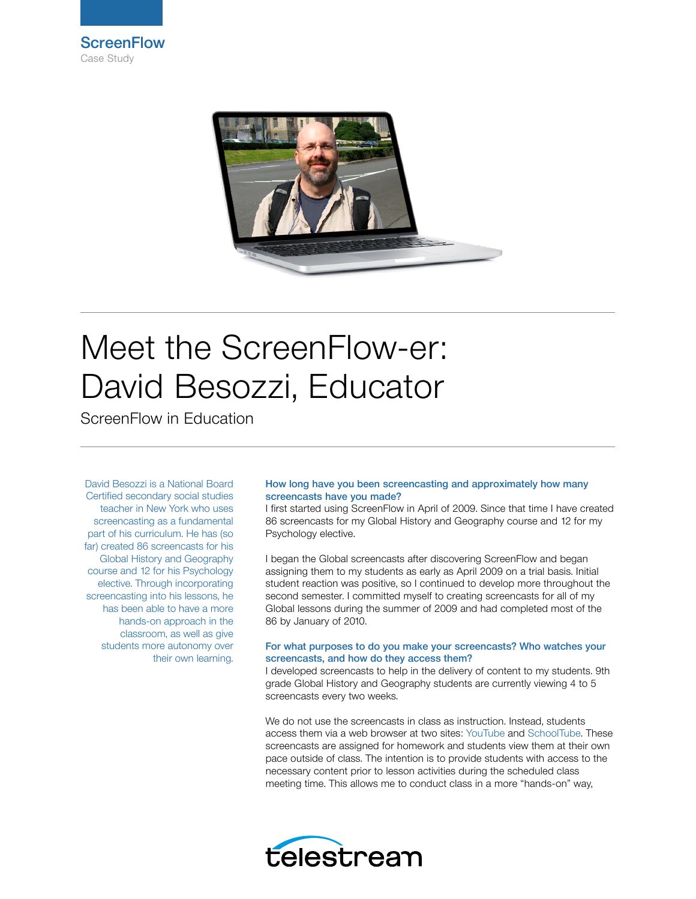



# Meet the ScreenFlow-er: David Besozzi, Educator

ScreenFlow in Education

David Besozzi is a National Board Certified secondary social studies teacher in New York who uses screencasting as a fundamental part of his curriculum. He has (so far) created 86 screencasts for his Global History and Geography course and 12 for his Psychology elective. Through incorporating screencasting into his lessons, he has been able to have a more hands-on approach in the classroom, as well as give students more autonomy over their own learning.

## How long have you been screencasting and approximately how many screencasts have you made?

I first started using ScreenFlow in April of 2009. Since that time I have created 86 screencasts for my Global History and Geography course and 12 for my Psychology elective.

I began the Global screencasts after discovering ScreenFlow and began assigning them to my students as early as April 2009 on a trial basis. Initial student reaction was positive, so I continued to develop more throughout the second semester. I committed myself to creating screencasts for all of my Global lessons during the summer of 2009 and had completed most of the 86 by January of 2010.

## For what purposes to do you make your screencasts? Who watches your screencasts, and how do they access them?

I developed screencasts to help in the delivery of content to my students. 9th grade Global History and Geography students are currently viewing 4 to 5 screencasts every two weeks.

We do not use the screencasts in class as instruction. Instead, students access them via a web browser at two sites: [YouTube](http://www.youtube.com) and [SchoolTube](http://www.schooltube.com). These screencasts are assigned for homework and students view them at their own pace outside of class. The intention is to provide students with access to the necessary content prior to lesson activities during the scheduled class meeting time. This allows me to conduct class in a more "hands-on" way,